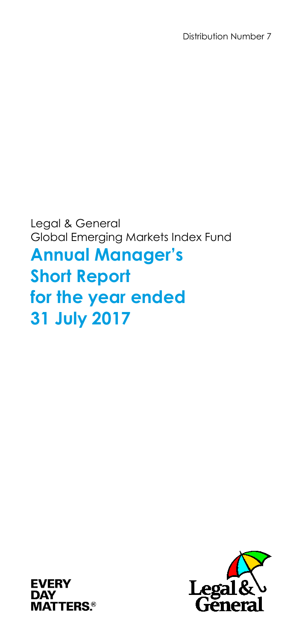Distribution Number 7

Legal & General Global Emerging Markets Index Fund **Annual Manager's Short Report for the year ended 31 July 2017**



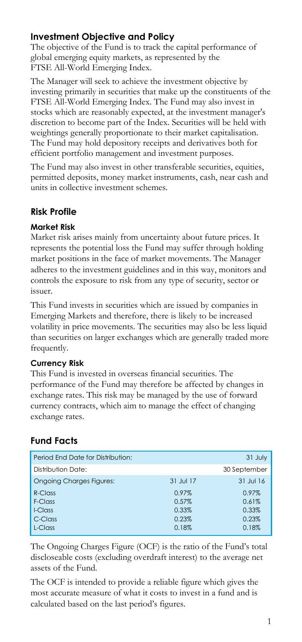# **Investment Objective and Policy**

The objective of the Fund is to track the capital performance of global emerging equity markets, as represented by the FTSE All-World Emerging Index.

The Manager will seek to achieve the investment objective by investing primarily in securities that make up the constituents of the FTSE All-World Emerging Index. The Fund may also invest in stocks which are reasonably expected, at the investment manager's discretion to become part of the Index. Securities will be held with weightings generally proportionate to their market capitalisation. The Fund may hold depository receipts and derivatives both for efficient portfolio management and investment purposes.

The Fund may also invest in other transferable securities, equities, permitted deposits, money market instruments, cash, near cash and units in collective investment schemes.

# **Risk Profile**

## **Market Risk**

Market risk arises mainly from uncertainty about future prices. It represents the potential loss the Fund may suffer through holding market positions in the face of market movements. The Manager adheres to the investment guidelines and in this way, monitors and controls the exposure to risk from any type of security, sector or issuer.

This Fund invests in securities which are issued by companies in Emerging Markets and therefore, there is likely to be increased volatility in price movements. The securities may also be less liquid than securities on larger exchanges which are generally traded more frequently.

## **Currency Risk**

This Fund is invested in overseas financial securities. The performance of the Fund may therefore be affected by changes in exchange rates. This risk may be managed by the use of forward currency contracts, which aim to manage the effect of changing exchange rates.

# **Fund Facts**

| Period End Date for Distribution: |           | 31 July      |
|-----------------------------------|-----------|--------------|
| Distribution Date:                |           | 30 September |
| <b>Ongoing Charges Figures:</b>   | 31 Jul 17 | 31 Jul 16    |
| R-Class                           | 0.97%     | 0.97%        |
| F-Class                           | 0.57%     | 0.61%        |
| I-Class                           | 0.33%     | 0.33%        |
| C-Class                           | 0.23%     | 0.23%        |
| L-Class                           | 0.18%     | 0.18%        |
|                                   |           |              |

The Ongoing Charges Figure (OCF) is the ratio of the Fund's total discloseable costs (excluding overdraft interest) to the average net assets of the Fund.

The OCF is intended to provide a reliable figure which gives the most accurate measure of what it costs to invest in a fund and is calculated based on the last period's figures.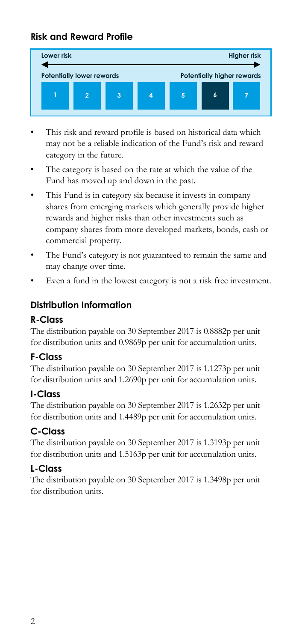# **Risk and Reward Profile**



- This risk and reward profile is based on historical data which may not be a reliable indication of the Fund's risk and reward category in the future.
- The category is based on the rate at which the value of the Fund has moved up and down in the past.
- This Fund is in category six because it invests in company shares from emerging markets which generally provide higher rewards and higher risks than other investments such as company shares from more developed markets, bonds, cash or commercial property.
- The Fund's category is not guaranteed to remain the same and may change over time.
- Even a fund in the lowest category is not a risk free investment.

# **Distribution Information**

## **R-Class**

The distribution payable on 30 September 2017 is 0.8882p per unit for distribution units and 0.9869p per unit for accumulation units.

## **F-Class**

The distribution payable on 30 September 2017 is 1.1273p per unit for distribution units and 1.2690p per unit for accumulation units.

## **I-Class**

The distribution payable on 30 September 2017 is 1.2632p per unit for distribution units and 1.4489p per unit for accumulation units.

# **C-Class**

The distribution payable on 30 September 2017 is 1.3193p per unit for distribution units and 1.5163p per unit for accumulation units.

# **L-Class**

The distribution payable on 30 September 2017 is 1.3498p per unit for distribution units.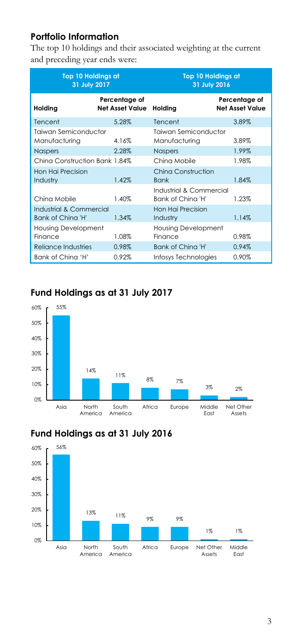# **Portfolio Information**

The top 10 holdings and their associated weighting at the current and preceding year ends were:

| <b>Top 10 Holdings at</b><br>31 July 2017    |                                         | <b>Top 10 Holdings at</b><br>31 July 2016    |                                         |
|----------------------------------------------|-----------------------------------------|----------------------------------------------|-----------------------------------------|
| Holding                                      | Percentage of<br><b>Net Asset Value</b> | Holding                                      | Percentage of<br><b>Net Asset Value</b> |
| Tencent                                      | 5.28%                                   | Tencent                                      | 3.89%                                   |
| Taiwan Semiconductor<br>Manufacturing        | 4.16%                                   | Taiwan Semiconductor<br>Manufacturing        | 3.89%                                   |
| <b>Naspers</b>                               | 2.28%                                   | <b>Naspers</b>                               | 1.99%                                   |
| China Construction Bank 1.84%                |                                         | China Mobile                                 | 1.98%                                   |
| Hon Hai Precision<br>Industry                | 1.42%                                   | China Construction<br><b>Bank</b>            | 1.84%                                   |
| China Mobile                                 | 1.40%                                   | Industrial & Commercial<br>Bank of China 'H' | 1.23%                                   |
| Industrial & Commercial<br>Bank of China 'H' | 1.34%                                   | Hon Hai Precision<br>Industry                | 1.14%                                   |
| <b>Housing Development</b><br>Finance        | 1.08%                                   | <b>Housing Development</b><br>Finance        | 0.98%                                   |
| Reliance Industries                          | 0.98%                                   | Bank of China 'H'                            | 0.94%                                   |
| Bank of China 'H'                            | 0.92%                                   | Infosys Technologies                         | 0.90%                                   |

# **Fund Holdings as at 31 July 2017**





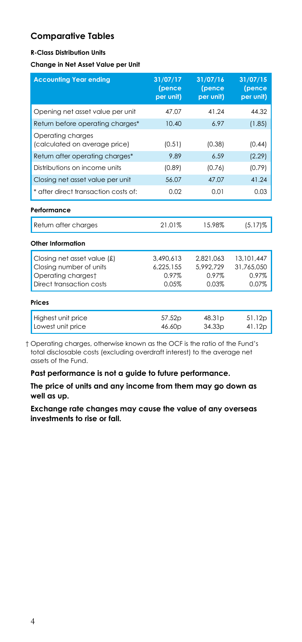## **Comparative Tables**

### **R-Class Distribution Units**

#### **Change in Net Asset Value per Unit**

| <b>Accounting Year ending</b>                      | 31/07/17<br>(pence<br>per unit) | 31/07/16<br>(pence<br>per unit) | 31/07/15<br>(pence<br>per unit) |
|----------------------------------------------------|---------------------------------|---------------------------------|---------------------------------|
| Opening net asset value per unit                   | 47.07                           | 41.24                           | 44.32                           |
| Return before operating charges*                   | 10.40                           | 6.97                            | (1.85)                          |
| Operating charges<br>(calculated on average price) | (0.51)                          | (0.38)                          | (0.44)                          |
| Return after operating charges*                    | 9.89                            | 6.59                            | (2.29)                          |
| Distributions on income units                      | (0.89)                          | (0.76)                          | (0.79)                          |
| Closing net asset value per unit                   | 56.07                           | 47.07                           | 41.24                           |
| * after direct transaction costs of:               | 0.02                            | 0.01                            | 0.03                            |
| Performance                                        |                                 |                                 |                                 |
| Return after charges                               | 21.01%                          | 15.98%                          | $(5.17)\%$                      |
| Other Information                                  |                                 |                                 |                                 |
| Closing net asset value (£)                        | 3,490,613                       | 2,821,063                       | 13,101,447                      |
| Closing number of units                            | 6.225.155                       | 5.992.729                       | 31.765.050                      |
| Operating chargest                                 | 0.97%                           | 0.97%                           | 0.97%                           |
| Direct transaction costs                           | 0.05%                           | 0.03%                           | 0.07%                           |
| Prices                                             |                                 |                                 |                                 |
| Highest unit price                                 | 57.52p                          | 48.31 <sub>p</sub>              | 51.12p                          |
| Lowest unit price                                  | 46.60p                          | 34.33 <sub>p</sub>              | 41.12p                          |

† Operating charges, otherwise known as the OCF is the ratio of the Fund's total disclosable costs (excluding overdraft interest) to the average net assets of the Fund.

**Past performance is not a guide to future performance.**

**The price of units and any income from them may go down as well as up.**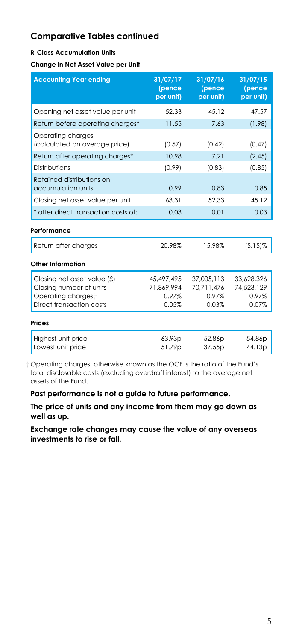#### **R-Class Accumulation Units**

#### **Change in Net Asset Value per Unit**

| <b>Accounting Year ending</b>                                                                            | 31/07/17<br>(pence<br>per unit)            | 31/07/16<br>(pence<br>per unit)            | 31/07/15<br>(pence<br>per unit)            |
|----------------------------------------------------------------------------------------------------------|--------------------------------------------|--------------------------------------------|--------------------------------------------|
| Opening net asset value per unit                                                                         | 52.33                                      | 45.12                                      | 47.57                                      |
| Return before operating charges*                                                                         | 11.55                                      | 7.63                                       | (1.98)                                     |
| Operating charges<br>(calculated on average price)                                                       | (0.57)                                     | (0.42)                                     | (0.47)                                     |
| Return after operating charges*                                                                          | 10.98                                      | 7.21                                       | (2.45)                                     |
| Distributions                                                                                            | (0.99)                                     | (0.83)                                     | (0.85)                                     |
| Retained distributions on<br>accumulation units                                                          | 0.99                                       | 0.83                                       | 0.85                                       |
| Closing net asset value per unit                                                                         | 63.31                                      | 52.33                                      | 45.12                                      |
| * after direct transaction costs of:                                                                     | 0.03                                       | 0.01                                       | 0.03                                       |
| Performance                                                                                              |                                            |                                            |                                            |
| Return after charges                                                                                     | 20.98%                                     | 15.98%                                     | $(5.15)\%$                                 |
| Other Information                                                                                        |                                            |                                            |                                            |
| Closing net asset value (£)<br>Closing number of units<br>Operating chargest<br>Direct transaction costs | 45.497.495<br>71.869.994<br>0.97%<br>0.05% | 37.005.113<br>70.711.476<br>0.97%<br>0.03% | 33.628.326<br>74,523,129<br>0.97%<br>0.07% |
| Prices                                                                                                   |                                            |                                            |                                            |
| Highest unit price<br>Lowest unit price                                                                  | 63.93 <sub>p</sub><br>51.79p               | 52.86 <sub>p</sub><br>37.55p               | 54.86p<br>44.13p                           |

† Operating charges, otherwise known as the OCF is the ratio of the Fund's total disclosable costs (excluding overdraft interest) to the average net assets of the Fund.

**Past performance is not a guide to future performance.**

**The price of units and any income from them may go down as well as up.**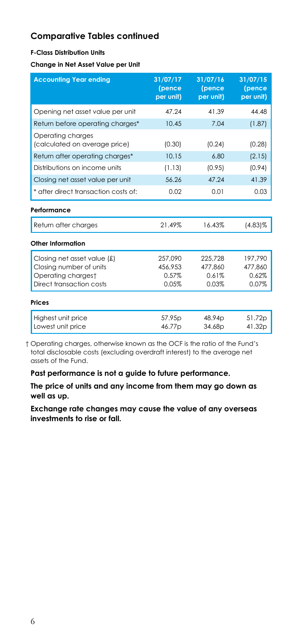### **F-Class Distribution Units**

**Change in Net Asset Value per Unit**

| <b>Accounting Year ending</b>                      | 31/07/17<br>(pence<br>per unit) | 31/07/16<br>(pence<br>per unit) | 31/07/15<br>(pence<br>per unit) |
|----------------------------------------------------|---------------------------------|---------------------------------|---------------------------------|
| Opening net asset value per unit                   | 47.24                           | 41.39                           | 44.48                           |
| Return before operating charges*                   | 10.45                           | 7.04                            | (1.87)                          |
| Operating charges<br>(calculated on average price) | (0.30)                          | (0.24)                          | (0.28)                          |
| Return after operating charges*                    | 10.15                           | 6.80                            | (2.15)                          |
| Distributions on income units                      | (1.13)                          | (0.95)                          | (0.94)                          |
| Closing net asset value per unit                   | 56.26                           | 47.24                           | 41.39                           |
| * after direct transaction costs of:               | 0.02                            | 0.01                            | 0.03                            |
| Performance                                        |                                 |                                 |                                 |
| Return after charges                               | 21.49%                          | 16.43%                          | $(4.83)\%$                      |
| <b>Other Information</b>                           |                                 |                                 |                                 |
| Closing net asset value (£)                        | 257,090                         | 225,728                         | 197,790                         |
| Closing number of units                            | 456.953                         | 477.860                         | 477.860                         |
| Operating chargest                                 | 0.57%                           | 0.61%                           | 0.62%                           |
| Direct transaction costs                           | 0.05%                           | 0.03%                           | 0.07%                           |
| <b>Prices</b>                                      |                                 |                                 |                                 |
| Highest unit price                                 | 57.95p                          | 48.94p                          | 51.72p                          |
| Lowest unit price                                  | 46.77p                          | 34.68p                          | 41.32p                          |

† Operating charges, otherwise known as the OCF is the ratio of the Fund's total disclosable costs (excluding overdraft interest) to the average net assets of the Fund.

**Past performance is not a guide to future performance.**

**The price of units and any income from them may go down as well as up.**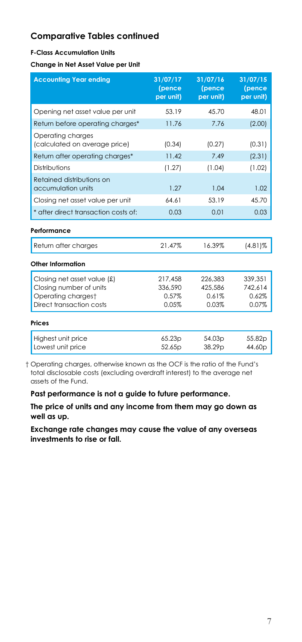#### **F-Class Accumulation Units**

#### **Change in Net Asset Value per Unit**

| <b>Accounting Year ending</b>                          | 31/07/17<br>(pence<br>per unit) | 31/07/16<br>(pence<br>per unit) | 31/07/15<br>(pence<br>per unit) |
|--------------------------------------------------------|---------------------------------|---------------------------------|---------------------------------|
| Opening net asset value per unit                       | 53.19                           | 45.70                           | 48.01                           |
| Return before operating charges*                       | 11.76                           | 7.76                            | (2.00)                          |
| Operating charges<br>(calculated on average price)     | (0.34)                          | (0.27)                          | (0.31)                          |
| Return after operating charges*                        | 11.42                           | 7.49                            | (2.31)                          |
| Distributions                                          | (1.27)                          | (1.04)                          | (1.02)                          |
| Retained distributions on<br>accumulation units        | 1.27                            | 1.04                            | 1.02                            |
| Closing net asset value per unit                       | 64.61                           | 53.19                           | 45.70                           |
| * after direct transaction costs of:                   | 0.03                            | 0.01                            | 0.03                            |
| Performance                                            |                                 |                                 |                                 |
| Return after charges                                   | 21.47%                          | 16.39%                          | $(4.81)\%$                      |
| Other Information                                      |                                 |                                 |                                 |
| Closing net asset value (£)<br>Closing number of units | 217,458<br>336.590              | 226.383<br>425.586              | 339,351<br>742.614              |
| Operating chargest                                     | 0.57%                           | 0.61%                           | 0.62%                           |
| Direct transaction costs                               | 0.05%                           | 0.03%                           | 0.07%                           |
| Prices                                                 |                                 |                                 |                                 |
| Highest unit price                                     | 65.23p                          | 54.03p                          | 55.82p                          |
| Lowest unit price                                      | 52.65p                          | 38.29 <sub>D</sub>              | 44.60 <sub>p</sub>              |

† Operating charges, otherwise known as the OCF is the ratio of the Fund's total disclosable costs (excluding overdraft interest) to the average net assets of the Fund.

**Past performance is not a guide to future performance.**

**The price of units and any income from them may go down as well as up.**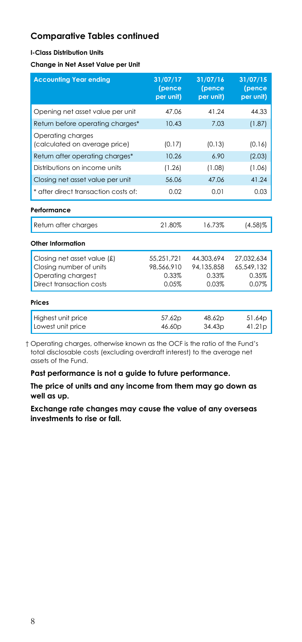### **I-Class Distribution Units**

**Change in Net Asset Value per Unit**

| <b>Accounting Year ending</b>                      | 31/07/17<br>(pence<br>per unit) | 31/07/16<br>(pence<br>per unit) | 31/07/15<br>(pence<br>per unit) |
|----------------------------------------------------|---------------------------------|---------------------------------|---------------------------------|
| Opening net asset value per unit                   | 47.06                           | 41.24                           | 44.33                           |
| Return before operating charges*                   | 10.43                           | 7.03                            | (1.87)                          |
| Operating charges<br>(calculated on average price) | (0.17)                          | (0.13)                          | (0.16)                          |
| Return after operating charges*                    | 10.26                           | 6.90                            | (2.03)                          |
| Distributions on income units                      | (1.26)                          | (1.08)                          | (1.06)                          |
| Closing net asset value per unit                   | 56.06                           | 47.06                           | 41.24                           |
| * after direct transaction costs of:               | 0.02                            | 0.01                            | 0.03                            |
| Performance                                        |                                 |                                 |                                 |
| Return after charges                               | 21.80%                          | 16.73%                          | $(4.58)$ %                      |
| <b>Other Information</b>                           |                                 |                                 |                                 |
| Closing net asset value (£)                        | 55,251,721                      | 44.303.694                      | 27.032.634                      |
| Closing number of units                            | 98,566,910                      | 94,135,858                      | 65,549,132                      |
| Operating chargest                                 | 0.33%                           | 0.33%                           | 0.35%                           |
| Direct transaction costs                           | 0.05%                           | 0.03%                           | 0.07%                           |
| <b>Prices</b>                                      |                                 |                                 |                                 |
| Highest unit price                                 | 57.62p                          | 48.62p                          | 51.64p                          |
| Lowest unit price                                  | 46.60p                          | 34.43p                          | 41.21p                          |

† Operating charges, otherwise known as the OCF is the ratio of the Fund's total disclosable costs (excluding overdraft interest) to the average net assets of the Fund.

**Past performance is not a guide to future performance.**

**The price of units and any income from them may go down as well as up.**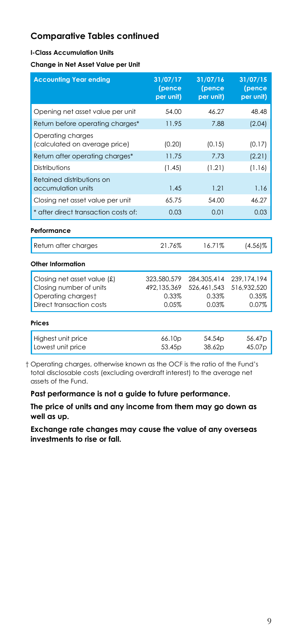#### **I-Class Accumulation Units**

**Change in Net Asset Value per Unit**

| <b>Accounting Year ending</b>                                                                            | 31/07/17<br>(pence<br>per unit)              | 31/07/16<br>(pence<br>per unit)              | 31/07/15<br>(pence<br>per unit)              |
|----------------------------------------------------------------------------------------------------------|----------------------------------------------|----------------------------------------------|----------------------------------------------|
| Opening net asset value per unit                                                                         | 54.00                                        | 46.27                                        | 48.48                                        |
| Return before operating charges*                                                                         | 11.95                                        | 7.88                                         | (2.04)                                       |
| Operating charges<br>(calculated on average price)                                                       | (0.20)                                       | (0.15)                                       | (0.17)                                       |
| Return after operating charges*                                                                          | 11.75                                        | 7.73                                         | (2.21)                                       |
| Distributions                                                                                            | (1.45)                                       | (1.21)                                       | (1.16)                                       |
| Retained distributions on<br>accumulation units                                                          | 1.45                                         | 1.21                                         | 1.16                                         |
| Closing net asset value per unit                                                                         | 65.75                                        | 54.00                                        | 46.27                                        |
| * after direct transaction costs of:                                                                     | 0.03                                         | 0.01                                         | 0.03                                         |
| Performance                                                                                              |                                              |                                              |                                              |
| Return after charges                                                                                     | 21.76%                                       | 16.71%                                       | $(4.56)\%$                                   |
| Other Information                                                                                        |                                              |                                              |                                              |
| Closing net asset value (£)<br>Closing number of units<br>Operating chargest<br>Direct transaction costs | 323,580,579<br>492,135,369<br>0.33%<br>0.05% | 284,305,414<br>526,461,543<br>0.33%<br>0.03% | 239,174,194<br>516,932,520<br>0.35%<br>0.07% |
| Prices                                                                                                   |                                              |                                              |                                              |
| Highest unit price<br>Lowest unit price                                                                  | 66.10 <sub>p</sub><br>53.45 <sub>p</sub>     | 54.54 <sub>p</sub><br>38.62p                 | 56.47p<br>45.07p                             |

† Operating charges, otherwise known as the OCF is the ratio of the Fund's total disclosable costs (excluding overdraft interest) to the average net assets of the Fund.

**Past performance is not a guide to future performance.**

**The price of units and any income from them may go down as well as up.**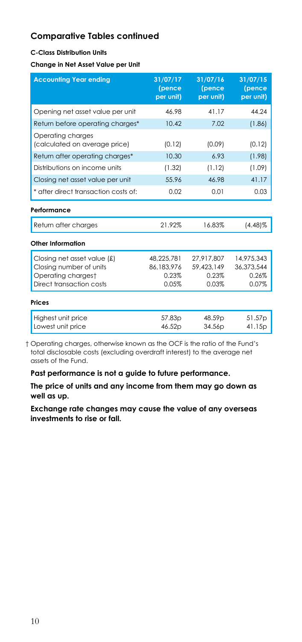### **C-Class Distribution Units**

**Change in Net Asset Value per Unit**

| <b>Accounting Year ending</b>                      | 31/07/17<br>(pence<br>per unit) | 31/07/16<br>(pence<br>per unit) | 31/07/15<br>(pence<br>per unit) |
|----------------------------------------------------|---------------------------------|---------------------------------|---------------------------------|
| Opening net asset value per unit                   | 46.98                           | 41.17                           | 44.24                           |
| Return before operating charges*                   | 10.42                           | 7.02                            | (1.86)                          |
| Operating charges<br>(calculated on average price) | (0.12)                          | (0.09)                          | (0.12)                          |
| Return after operating charges*                    | 10.30                           | 6.93                            | (1.98)                          |
| Distributions on income units                      | (1.32)                          | (1.12)                          | (1.09)                          |
| Closing net asset value per unit                   | 55.96                           | 46.98                           | 41.17                           |
| * after direct transaction costs of:               | 0.02                            | 0.01                            | 0.03                            |
| Performance                                        |                                 |                                 |                                 |
| Return after charges                               | 21.92%                          | 16.83%                          | $(4.48)\%$                      |
| Other Information                                  |                                 |                                 |                                 |
| Closing net asset value (£)                        | 48.225.781                      | 27.917.807                      | 14,975,343                      |
| Closing number of units                            | 86.183.976                      | 59.423.149                      | 36.373.544                      |
| Operating chargest                                 | 0.23%                           | 0.23%                           | 0.26%                           |
| Direct transaction costs                           | 0.05%                           | 0.03%                           | 0.07%                           |
| <b>Prices</b>                                      |                                 |                                 |                                 |
| Highest unit price                                 | 57.83p                          | 48.59p                          | 51.57p                          |
| Lowest unit price                                  | 46.52p                          | 34.56p                          | 41.15p                          |

† Operating charges, otherwise known as the OCF is the ratio of the Fund's total disclosable costs (excluding overdraft interest) to the average net assets of the Fund.

**Past performance is not a guide to future performance.**

**The price of units and any income from them may go down as well as up.**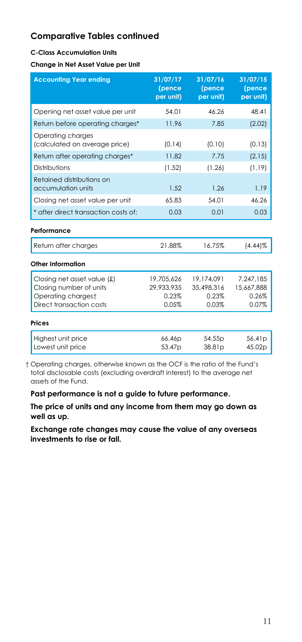#### **C-Class Accumulation Units**

#### **Change in Net Asset Value per Unit**

| <b>Accounting Year ending</b>                                                                            | 31/07/17<br>(pence<br>per unit)            | 31/07/16<br>(pence<br>per unit)            | 31/07/15<br>(pence<br>per unit)           |
|----------------------------------------------------------------------------------------------------------|--------------------------------------------|--------------------------------------------|-------------------------------------------|
| Opening net asset value per unit                                                                         | 54.01                                      | 46.26                                      | 48.41                                     |
| Return before operating charges*                                                                         | 11.96                                      | 7.85                                       | (2.02)                                    |
| Operating charges<br>(calculated on average price)                                                       | (0.14)                                     | (0.10)                                     | (0.13)                                    |
| Return after operating charges*                                                                          | 11.82                                      | 7.75                                       | (2.15)                                    |
| Distributions                                                                                            | (1.52)                                     | (1.26)                                     | (1.19)                                    |
| Retained distributions on<br>accumulation units                                                          | 1.52                                       | 1.26                                       | 1.19                                      |
| Closing net asset value per unit                                                                         | 65.83                                      | 54.01                                      | 46.26                                     |
| * after direct transaction costs of:                                                                     | 0.03                                       | 0.01                                       | 0.03                                      |
| Performance                                                                                              |                                            |                                            |                                           |
| Return after charges                                                                                     | 21.88%                                     | 16.75%                                     | $(4.44)\%$                                |
| Other Information                                                                                        |                                            |                                            |                                           |
| Closing net asset value (£)<br>Closing number of units<br>Operating chargest<br>Direct transaction costs | 19,705,626<br>29,933,935<br>0.23%<br>0.05% | 19,174,091<br>35,498,316<br>0.23%<br>0.03% | 7,247,185<br>15,667,888<br>0.26%<br>0.07% |
| Prices                                                                                                   |                                            |                                            |                                           |
| Highest unit price<br>Lowest unit price                                                                  | 66.46p<br>53.47 <sub>p</sub>               | 54.55 <sub>p</sub><br>38.81p               | 56.41 <sub>p</sub><br>45.02p              |

† Operating charges, otherwise known as the OCF is the ratio of the Fund's total disclosable costs (excluding overdraft interest) to the average net assets of the Fund.

**Past performance is not a guide to future performance.**

**The price of units and any income from them may go down as well as up.**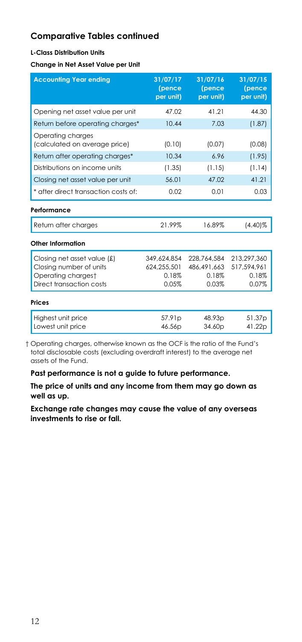### **L-Class Distribution Units**

**Change in Net Asset Value per Unit**

| <b>Accounting Year ending</b>                      | 31/07/17<br>(pence<br>per unit) | 31/07/16<br>(pence<br>per unit) | 31/07/15<br>(pence<br>per unit) |
|----------------------------------------------------|---------------------------------|---------------------------------|---------------------------------|
| Opening net asset value per unit                   | 47.02                           | 41.21                           | 44.30                           |
| Return before operating charges*                   | 10.44                           | 7.03                            | (1.87)                          |
| Operating charges<br>(calculated on average price) | (0.10)                          | (0.07)                          | (0.08)                          |
| Return after operating charges*                    | 10.34                           | 6.96                            | (1.95)                          |
| Distributions on income units                      | (1.35)                          | (1.15)                          | (1.14)                          |
| Closing net asset value per unit                   | 56.01                           | 47.02                           | 41.21                           |
| * after direct transaction costs of:               | 0.02                            | 0.01                            | 0.03                            |
| Performance                                        |                                 |                                 |                                 |
| Return after charges                               | 21.99%                          | 16.89%                          | $(4.40)\%$                      |
| Other Information                                  |                                 |                                 |                                 |
| Closing net asset value (£)                        | 349.624.854                     | 228.764.584                     | 213.297.360                     |
| Closing number of units                            | 624.255.501                     | 486.491.663                     | 517.594.961                     |
| Operating chargest                                 | 0.18%                           | 0.18%                           | 0.18%                           |
| Direct transaction costs                           | 0.05%                           | 0.03%                           | 0.07%                           |
| <b>Prices</b>                                      |                                 |                                 |                                 |
| Highest unit price                                 | 57.91 <sub>p</sub>              | 48.93p                          | 51.37p                          |
| Lowest unit price                                  | 46.56p                          | 34.60p                          | 41.22p                          |

† Operating charges, otherwise known as the OCF is the ratio of the Fund's total disclosable costs (excluding overdraft interest) to the average net assets of the Fund.

**Past performance is not a guide to future performance.**

**The price of units and any income from them may go down as well as up.**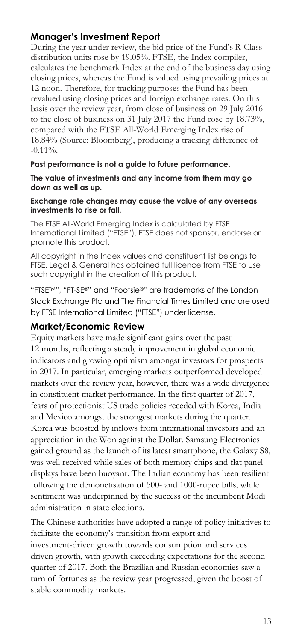## **Manager's Investment Report**

During the year under review, the bid price of the Fund's R-Class distribution units rose by 19.05%. FTSE, the Index compiler, calculates the benchmark Index at the end of the business day using closing prices, whereas the Fund is valued using prevailing prices at 12 noon. Therefore, for tracking purposes the Fund has been revalued using closing prices and foreign exchange rates. On this basis over the review year, from close of business on 29 July 2016 to the close of business on 31 July 2017 the Fund rose by 18.73%, compared with the FTSE All-World Emerging Index rise of 18.84% (Source: Bloomberg), producing a tracking difference of  $-0.11\%$ .

### **Past performance is not a guide to future performance.**

**The value of investments and any income from them may go down as well as up.**

#### **Exchange rate changes may cause the value of any overseas investments to rise or fall.**

The FTSE All-World Emerging Index is calculated by FTSE International Limited ("FTSE"). FTSE does not sponsor, endorse or promote this product.

All copyright in the Index values and constituent list belongs to FTSE. Legal & General has obtained full licence from FTSE to use such copyright in the creation of this product.

"FTSETM", "FT-SE®" and "Footsie®" are trademarks of the London Stock Exchange Plc and The Financial Times Limited and are used by FTSE International Limited ("FTSE") under license.

## **Market/Economic Review**

Equity markets have made significant gains over the past 12 months, reflecting a steady improvement in global economic indicators and growing optimism amongst investors for prospects in 2017. In particular, emerging markets outperformed developed markets over the review year, however, there was a wide divergence in constituent market performance. In the first quarter of 2017, fears of protectionist US trade policies receded with Korea, India and Mexico amongst the strongest markets during the quarter. Korea was boosted by inflows from international investors and an appreciation in the Won against the Dollar. Samsung Electronics gained ground as the launch of its latest smartphone, the Galaxy S8, was well received while sales of both memory chips and flat panel displays have been buoyant. The Indian economy has been resilient following the demonetisation of 500- and 1000-rupee bills, while sentiment was underpinned by the success of the incumbent Modi administration in state elections.

The Chinese authorities have adopted a range of policy initiatives to facilitate the economy's transition from export and investment-driven growth towards consumption and services driven growth, with growth exceeding expectations for the second quarter of 2017. Both the Brazilian and Russian economies saw a turn of fortunes as the review year progressed, given the boost of stable commodity markets.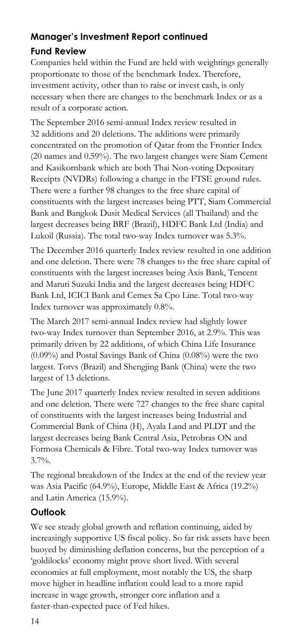# **Manager's Investment Report continued**

# **Fund Review**

Companies held within the Fund are held with weightings generally proportionate to those of the benchmark Index. Therefore, investment activity, other than to raise or invest cash, is only necessary when there are changes to the benchmark Index or as a result of a corporate action.

The September 2016 semi-annual Index review resulted in 32 additions and 20 deletions. The additions were primarily concentrated on the promotion of Qatar from the Frontier Index (20 names and 0.59%). The two largest changes were Siam Cement and Kasikornbank which are both Thai Non-voting Depositary Receipts (NVDRs) following a change in the FTSE ground rules. There were a further 98 changes to the free share capital of constituents with the largest increases being PTT, Siam Commercial Bank and Bangkok Dusit Medical Services (all Thailand) and the largest decreases being BRF (Brazil), HDFC Bank Ltd (India) and Lukoil (Russia). The total two-way Index turnover was 5.3%.

The December 2016 quarterly Index review resulted in one addition and one deletion. There were 78 changes to the free share capital of constituents with the largest increases being Axis Bank, Tencent and Maruti Suzuki India and the largest decreases being HDFC Bank Ltd, ICICI Bank and Cemex Sa Cpo Line. Total two-way Index turnover was approximately 0.8%.

The March 2017 semi-annual Index review had slightly lower two-way Index turnover than September 2016, at 2.9%. This was primarily driven by 22 additions, of which China Life Insurance (0.09%) and Postal Savings Bank of China (0.08%) were the two largest. Totvs (Brazil) and Shengjing Bank (China) were the two largest of 13 deletions.

The June 2017 quarterly Index review resulted in seven additions and one deletion. There were 727 changes to the free share capital of constituents with the largest increases being Industrial and Commercial Bank of China (H), Ayala Land and PLDT and the largest decreases being Bank Central Asia, Petrobras ON and Formosa Chemicals & Fibre. Total two-way Index turnover was 3.7%.

The regional breakdown of the Index at the end of the review year was Asia Pacific (64.9%), Europe, Middle East & Africa (19.2%) and Latin America (15.9%).

# **Outlook**

We see steady global growth and reflation continuing, aided by increasingly supportive US fiscal policy. So far risk assets have been buoyed by diminishing deflation concerns, but the perception of a 'goldilocks' economy might prove short lived. With several economies at full employment, most notably the US, the sharp move higher in headline inflation could lead to a more rapid increase in wage growth, stronger core inflation and a faster-than-expected pace of Fed hikes.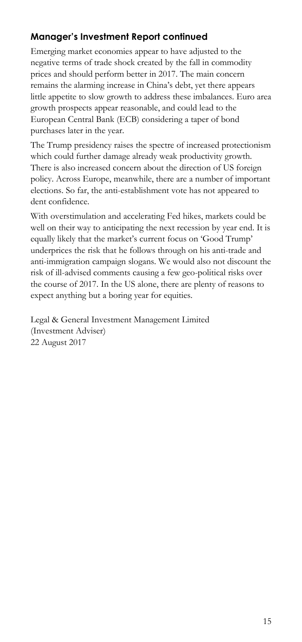# **Manager's Investment Report continued**

Emerging market economies appear to have adjusted to the negative terms of trade shock created by the fall in commodity prices and should perform better in 2017. The main concern remains the alarming increase in China's debt, yet there appears little appetite to slow growth to address these imbalances. Euro area growth prospects appear reasonable, and could lead to the European Central Bank (ECB) considering a taper of bond purchases later in the year.

The Trump presidency raises the spectre of increased protectionism which could further damage already weak productivity growth. There is also increased concern about the direction of US foreign policy. Across Europe, meanwhile, there are a number of important elections. So far, the anti-establishment vote has not appeared to dent confidence.

With overstimulation and accelerating Fed hikes, markets could be well on their way to anticipating the next recession by year end. It is equally likely that the market's current focus on 'Good Trump' underprices the risk that he follows through on his anti-trade and anti-immigration campaign slogans. We would also not discount the risk of ill-advised comments causing a few geo-political risks over the course of 2017. In the US alone, there are plenty of reasons to expect anything but a boring year for equities.

Legal & General Investment Management Limited (Investment Adviser) 22 August 2017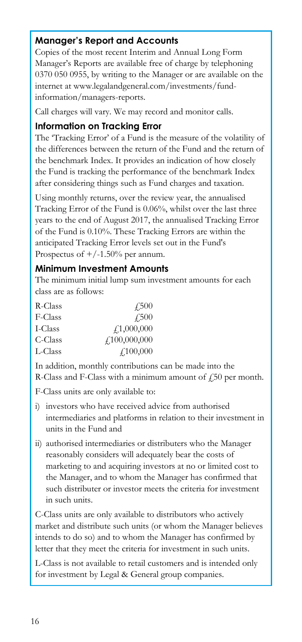# **Manager's Report and Accounts**

Copies of the most recent Interim and Annual Long Form Manager's Reports are available free of charge by telephoning 0370 050 0955, by writing to the Manager or are available on the internet at www.legalandgeneral.com/investments/fundinformation/managers-reports.

Call charges will vary. We may record and monitor calls.

### **Information on Tracking Error**

The 'Tracking Error' of a Fund is the measure of the volatility of the differences between the return of the Fund and the return of the benchmark Index. It provides an indication of how closely the Fund is tracking the performance of the benchmark Index after considering things such as Fund charges and taxation.

Using monthly returns, over the review year, the annualised Tracking Error of the Fund is 0.06%, whilst over the last three years to the end of August 2017, the annualised Tracking Error of the Fund is 0.10%. These Tracking Errors are within the anticipated Tracking Error levels set out in the Fund's Prospectus of  $+/-1.50\%$  per annum.

## **Minimum Investment Amounts**

The minimum initial lump sum investment amounts for each class are as follows:

| R-Class | 4.500            |
|---------|------------------|
| F-Class | $\sqrt{.500}$    |
| I-Class | f1,000,000       |
| C-Class | f100,000,000     |
| L-Class | $\angle 100,000$ |

In addition, monthly contributions can be made into the

R-Class and F-Class with a minimum amount of  $\ddot{E}$  per month.

F-Class units are only available to:

- i) investors who have received advice from authorised intermediaries and platforms in relation to their investment in units in the Fund and
- ii) authorised intermediaries or distributers who the Manager reasonably considers will adequately bear the costs of marketing to and acquiring investors at no or limited cost to the Manager, and to whom the Manager has confirmed that such distributer or investor meets the criteria for investment in such units.

C-Class units are only available to distributors who actively market and distribute such units (or whom the Manager believes intends to do so) and to whom the Manager has confirmed by letter that they meet the criteria for investment in such units.

L-Class is not available to retail customers and is intended only for investment by Legal & General group companies.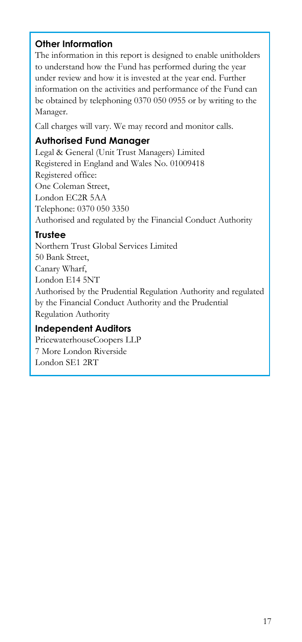# **Other Information**

The information in this report is designed to enable unitholders to understand how the Fund has performed during the year under review and how it is invested at the year end. Further information on the activities and performance of the Fund can be obtained by telephoning 0370 050 0955 or by writing to the Manager.

Call charges will vary. We may record and monitor calls.

# **Authorised Fund Manager**

Legal & General (Unit Trust Managers) Limited Registered in England and Wales No. 01009418 Registered office: One Coleman Street, London EC2R 5AA Telephone: 0370 050 3350 Authorised and regulated by the Financial Conduct Authority

# **Trustee**

Northern Trust Global Services Limited 50 Bank Street, Canary Wharf, London E14 5NT Authorised by the Prudential Regulation Authority and regulated by the Financial Conduct Authority and the Prudential Regulation Authority

# **Independent Auditors**

PricewaterhouseCoopers LLP 7 More London Riverside London SE1 2RT